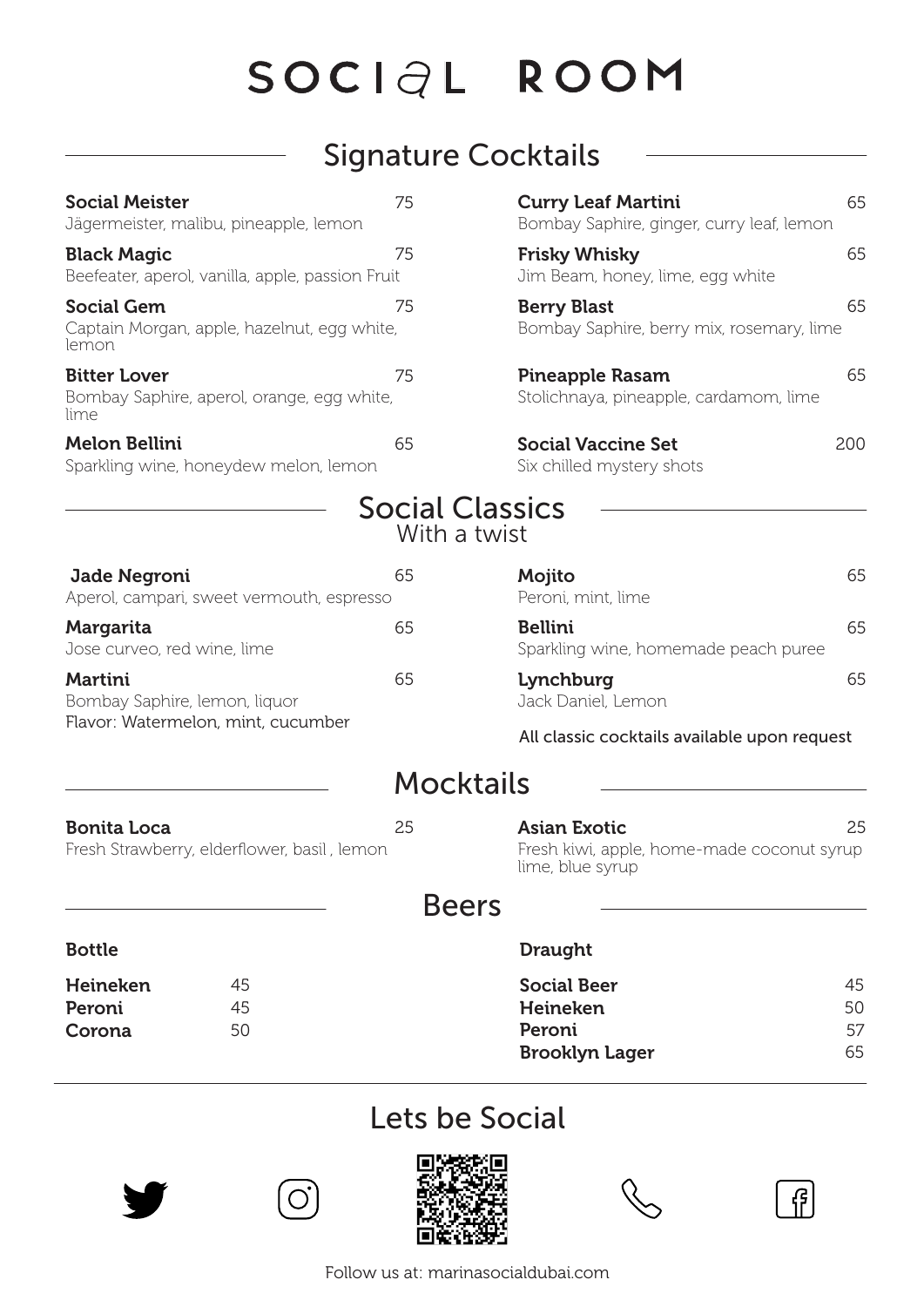## Signature Cocktails

| <b>Social Meister</b><br>Jägermeister, malibu, pineapple, lemon                       | 75                                     | <b>Curry Leaf Martini</b><br>Bombay Saphire, ginger, curry leaf, lemon | 65  |
|---------------------------------------------------------------------------------------|----------------------------------------|------------------------------------------------------------------------|-----|
| <b>Black Magic</b><br>Beefeater, aperol, vanilla, apple, passion Fruit                | 75                                     | <b>Frisky Whisky</b><br>Jim Beam, honey, lime, egg white               | 65  |
| <b>Social Gem</b><br>Captain Morgan, apple, hazelnut, egg white,<br>lemon             | 75                                     | <b>Berry Blast</b><br>Bombay Saphire, berry mix, rosemary, lime        | 65  |
| <b>Bitter Lover</b><br>Bombay Saphire, aperol, orange, egg white,<br>lime             | 75                                     | <b>Pineapple Rasam</b><br>Stolichnaya, pineapple, cardamom, lime       | 65  |
| <b>Melon Bellini</b><br>Sparkling wine, honeydew melon, lemon                         | 65                                     | <b>Social Vaccine Set</b><br>Six chilled mystery shots                 | 200 |
|                                                                                       | <b>Social Classics</b><br>With a twist |                                                                        |     |
| Jade Negroni<br>Aperol, campari, sweet vermouth, espresso                             | 65                                     | Mojito<br>Peroni, mint, lime                                           | 65  |
| Margarita<br>Jose curveo, red wine, lime                                              | 65                                     | <b>Bellini</b><br>Sparkling wine, homemade peach puree                 | 65  |
| <b>Martini</b><br>Bombay Saphire, lemon, liquor<br>Flavor: Watermelon, mint, cucumber | 65                                     | Lynchburg<br>Jack Daniel, Lemon                                        | 65  |
|                                                                                       |                                        | All classic cocktails available upon request                           |     |
|                                                                                       | Mocktails                              |                                                                        |     |
| Bonita Loca                                                                           | つら                                     | Asian Fyotic                                                           | クら  |

#### **Bonita Loca** 25 **Asian Exotic** 25 Fresh Strawberry, elderflower, basil, lemon Fresh kiwi, apple, home-made coconut syrup lime, blue syrup

#### Beers

| <b>Bottle</b> |                       | <b>Draught</b>     |    |
|---------------|-----------------------|--------------------|----|
| Heineken      | 45                    | <b>Social Beer</b> | 45 |
| Peroni        | 45                    | Heineken           | 50 |
| 50<br>Corona  | Peroni                | 57                 |    |
|               | <b>Brooklyn Lager</b> | 65                 |    |

### Lets be Social





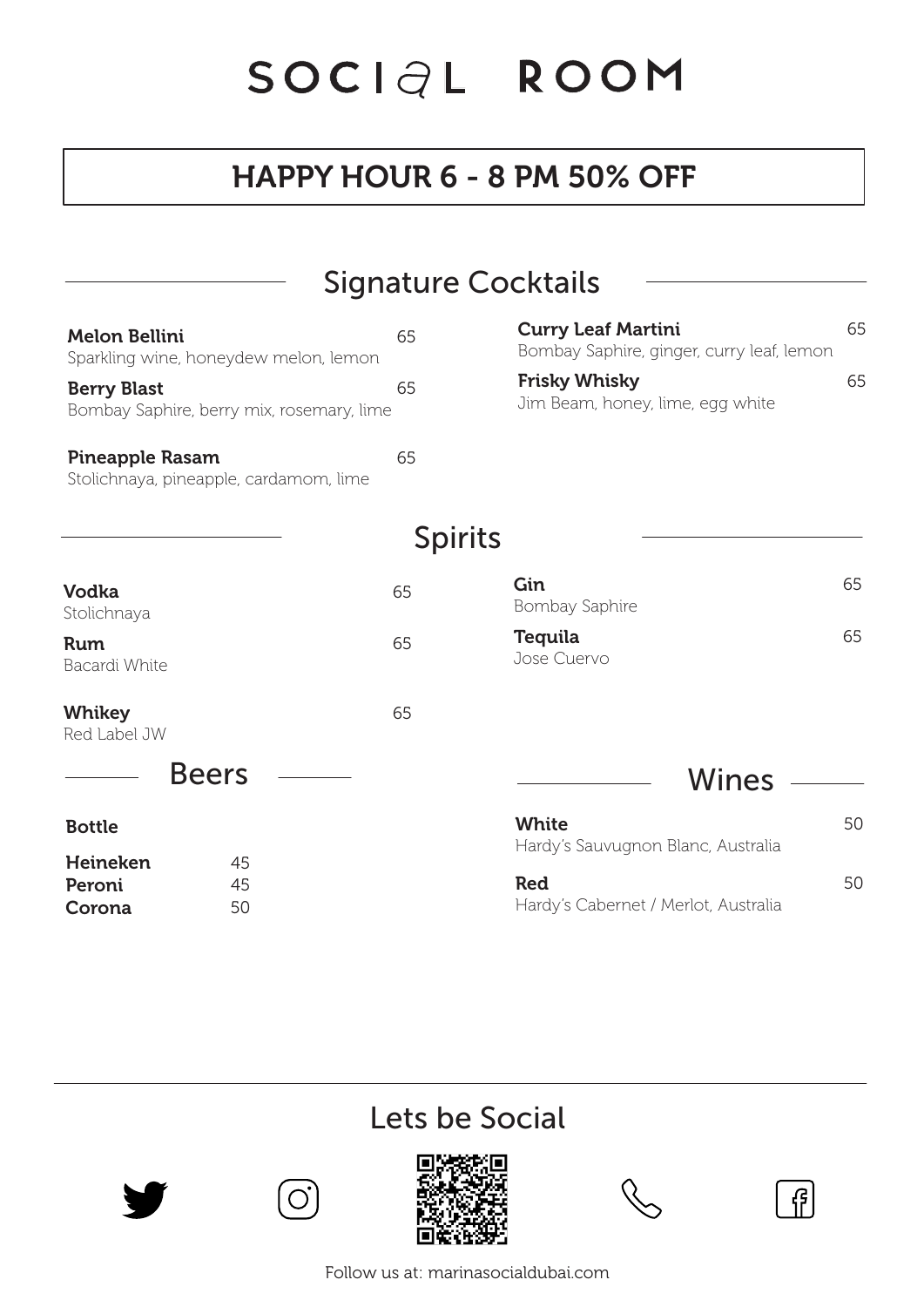# HAPPY HOUR 6 - 8 PM 50% OFF

|                                                                  | <b>Signature Cocktails</b> |                                                                        |    |
|------------------------------------------------------------------|----------------------------|------------------------------------------------------------------------|----|
| <b>Melon Bellini</b><br>Sparkling wine, honeydew melon, lemon    | 65                         | <b>Curry Leaf Martini</b><br>Bombay Saphire, ginger, curry leaf, lemon | 65 |
| <b>Berry Blast</b><br>Bombay Saphire, berry mix, rosemary, lime  | 65                         | <b>Frisky Whisky</b><br>Jim Beam, honey, lime, egg white               | 65 |
| <b>Pineapple Rasam</b><br>Stolichnaya, pineapple, cardamom, lime | 65                         |                                                                        |    |
|                                                                  | <b>Spirits</b>             |                                                                        |    |
| Vodka<br>Stolichnaya                                             | 65                         | Gin<br>Bombay Saphire                                                  | 65 |
| <b>Rum</b><br>Bacardi White                                      | 65                         | <b>Tequila</b><br>Jose Cuervo                                          | 65 |
| <b>Whikey</b><br>Red Label JW                                    | 65                         |                                                                        |    |
| <b>Beers</b>                                                     |                            | Wines                                                                  |    |
| <b>Bottle</b>                                                    |                            | <b>White</b><br>Hardy's Sauvugnon Blanc, Australia                     | 50 |
| Heineken<br>45<br>Peroni<br>45<br>50<br>Corona                   |                            | <b>Red</b><br>Hardy's Cabernet / Merlot, Australia                     | 50 |

# Lets be Social





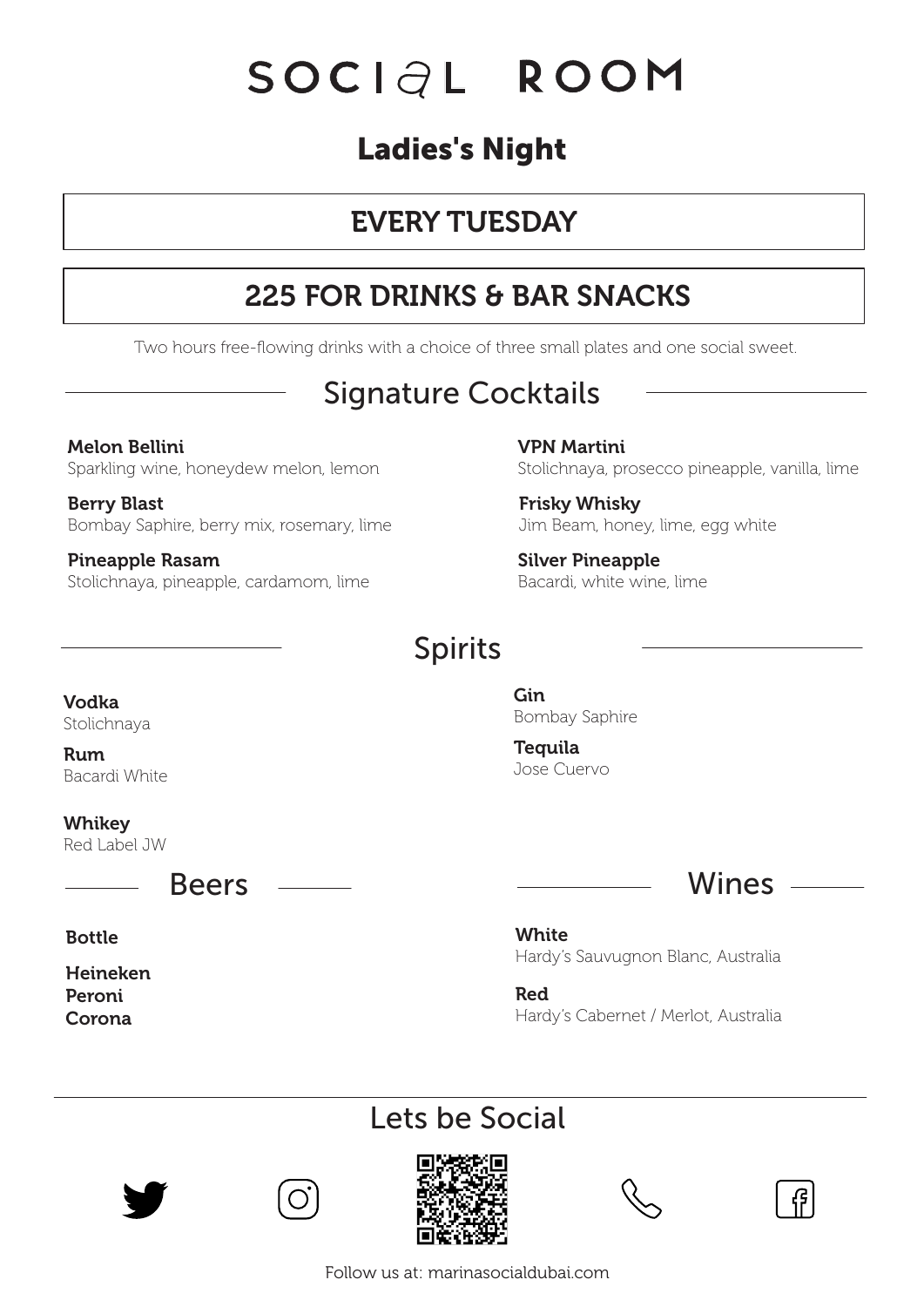# **Ladies's Night**

# EVERY TUESDAY

# 225 FOR DRINKS & BAR SNACKS

Two hours free-flowing drinks with a choice of three small plates and one social sweet.

# Signature Cocktails

Melon Bellini Sparkling wine, honeydew melon, lemon

Berry Blast Bombay Saphire, berry mix, rosemary, lime

Pineapple Rasam Stolichnaya, pineapple, cardamom, lime VPN Martini Stolichnaya, prosecco pineapple, vanilla, lime

Frisky Whisky Jim Beam, honey, lime, egg white

Silver Pineapple Bacardi, white wine, lime

#### Spirits

Vodka Stolichnaya

Rum Bacardi White

Whikey Red Label JW

Bottle

Heineken Peroni Corona

Gin Bombay Saphire

**Tequila** Jose Cuervo



**White** Hardy's Sauvugnon Blanc, Australia

Red Hardy's Cabernet / Merlot, Australia

### Lets be Social





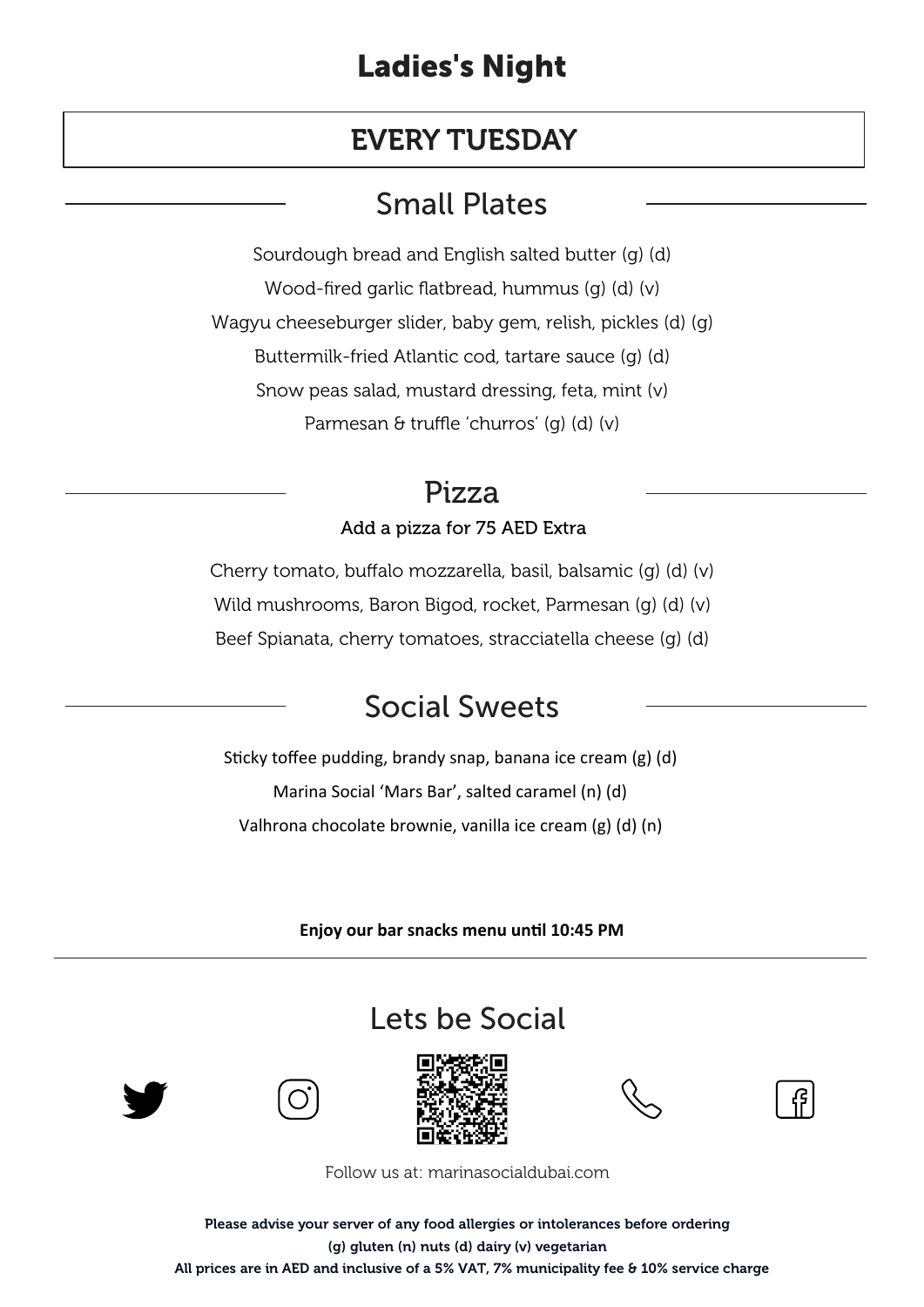#### EVERY TUESDAY

## Small Plates

Sourdough bread and English salted butter (g) (d) Wood-fired garlic flatbread, hummus (g) (d) (v) Wagyu cheeseburger slider, baby gem, relish, pickles (d) (g) Buttermilk-fried Atlantic cod, tartare sauce (g) (d) Snow peas salad, mustard dressing, feta, mint (v) Parmesan & truffle 'churros' (g) (d) (v)

#### Pizza

#### Add a pizza for 75 AED Extra

Cherry tomato, buffalo mozzarella, basil, balsamic (g) (d) (v) Wild mushrooms, Baron Bigod, rocket, Parmesan (g) (d) (v) Beef Spianata, cherry tomatoes, stracciatella cheese (g) (d)

### Social Sweets

Sticky toffee pudding, brandy snap, banana ice cream  $(g)$  (d) Marina Social 'Mars Bar', salted caramel (n) (d) Valhrona chocolate brownie, vanilla ice cream (g) (d) (n)

**Enjoy our bar snacks menu un�l 10:45 PM**

### Lets be Social



![](_page_3_Picture_12.jpeg)

![](_page_3_Picture_13.jpeg)

![](_page_3_Picture_14.jpeg)

![](_page_3_Picture_15.jpeg)

Follow us at: marinasocialdubai.com

Please advise your server of any food allergies or intolerances before ordering (g) gluten (n) nuts (d) dairy (v) vegetarian All prices are in AED and inclusive of a 5% VAT, 7% municipality fee & 10% service charge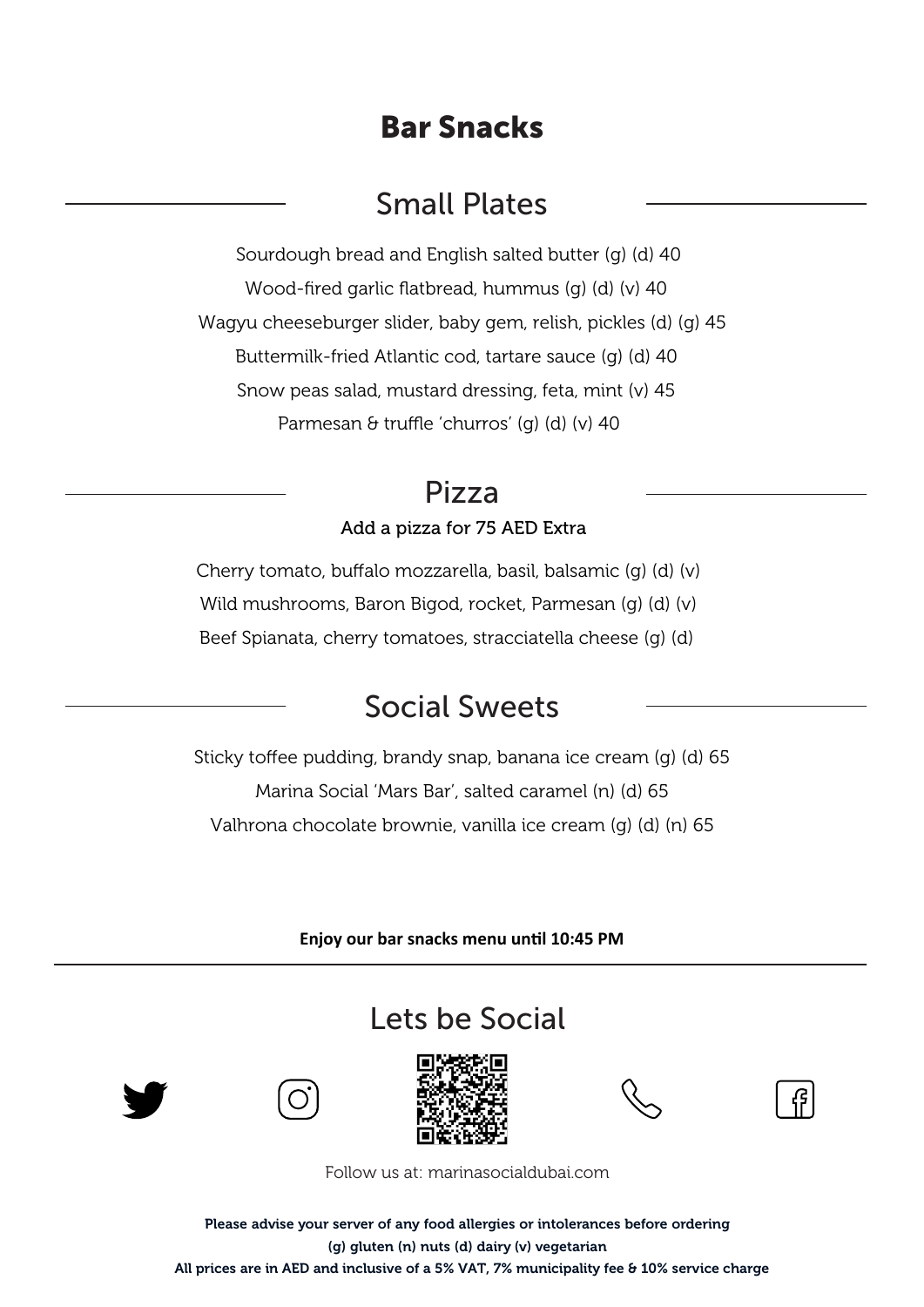### **Bar Snacks**

## Small Plates

Sourdough bread and English salted butter (g) (d) 40 Wood-fired garlic flatbread, hummus (g) (d) (v) 40 Wagyu cheeseburger slider, baby gem, relish, pickles (d) (g) 45 Buttermilk-fried Atlantic cod, tartare sauce (g) (d) 40 Snow peas salad, mustard dressing, feta, mint (v) 45 Parmesan & truffle 'churros' (g) (d) (v) 40

#### Pizza

#### Add a pizza for 75 AED Extra

Cherry tomato, buffalo mozzarella, basil, balsamic (g) (d) (v) Wild mushrooms, Baron Bigod, rocket, Parmesan (g) (d) (v) Beef Spianata, cherry tomatoes, stracciatella cheese (g) (d)

# Social Sweets

Sticky toffee pudding, brandy snap, banana ice cream (g) (d) 65 Marina Social 'Mars Bar', salted caramel (n) (d) 65 Valhrona chocolate brownie, vanilla ice cream (g) (d) (n) 65

**Enjoy our bar snacks menu un�l 10:45 PM**

## Lets be Social

![](_page_4_Picture_10.jpeg)

![](_page_4_Picture_11.jpeg)

![](_page_4_Picture_12.jpeg)

![](_page_4_Picture_13.jpeg)

![](_page_4_Picture_14.jpeg)

Follow us at: marinasocialdubai.com

Please advise your server of any food allergies or intolerances before ordering (g) gluten (n) nuts (d) dairy (v) vegetarian All prices are in AED and inclusive of a 5% VAT, 7% municipality fee & 10% service charge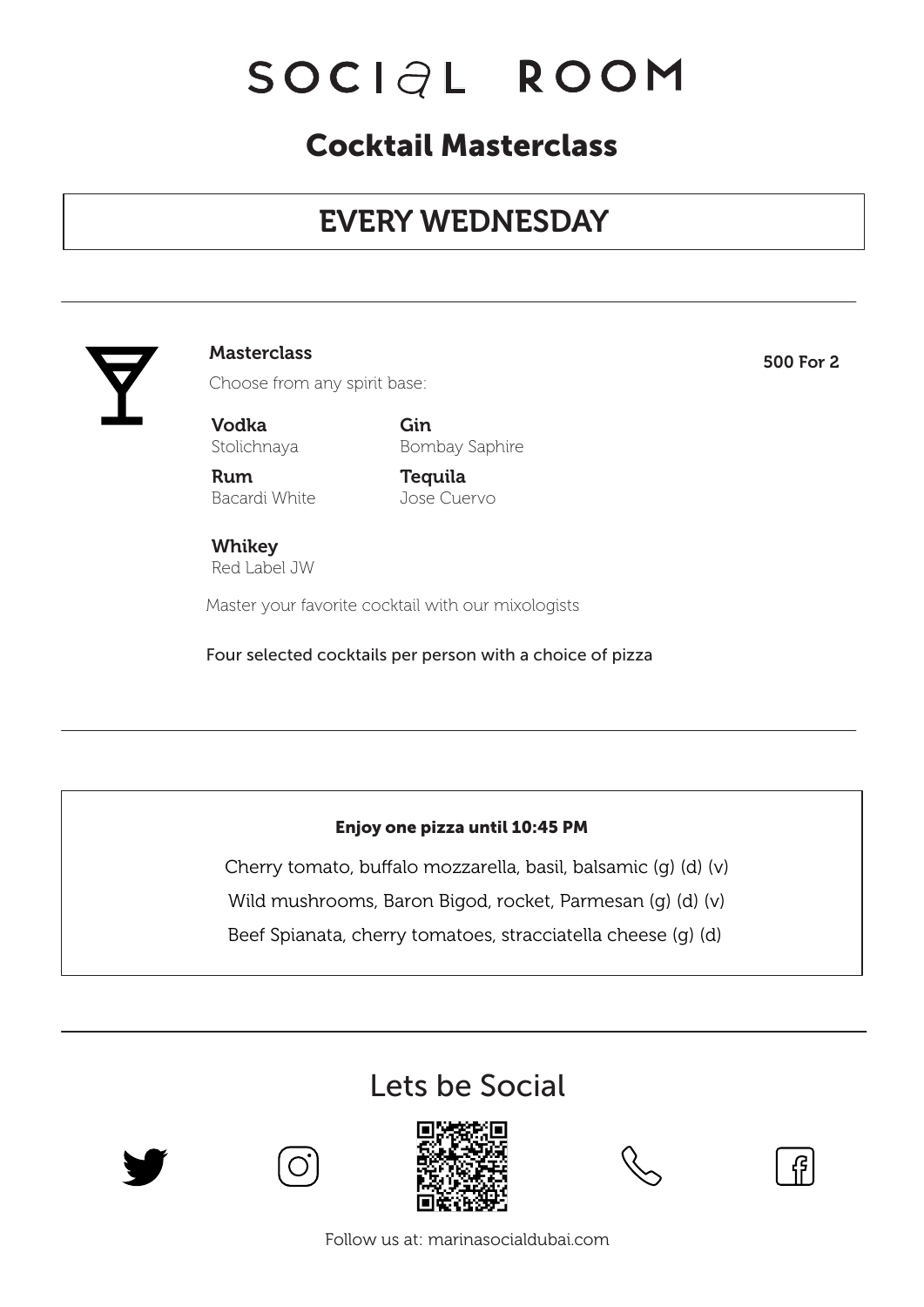## **Cocktail Masterclass**

# EVERY WEDNESDAY

![](_page_5_Picture_3.jpeg)

#### Masterclass 500 For 2

Choose from any spirit base:

Vodka Stolichnaya

Gin Bombay Saphire

Rum Bacardi White **Tequila** Jose Cuervo

Whikey Red Label JW

Master your favorite cocktail with our mixologists

Four selected cocktails per person with a choice of pizza

#### **Enjoy one pizza until 10:45 PM**

Cherry tomato, buffalo mozzarella, basil, balsamic (g) (d) (v)

Wild mushrooms, Baron Bigod, rocket, Parmesan (g) (d) (v)

Beef Spianata, cherry tomatoes, stracciatella cheese (g) (d)

## Lets be Social

![](_page_5_Picture_18.jpeg)

![](_page_5_Picture_19.jpeg)

![](_page_5_Picture_20.jpeg)

![](_page_5_Picture_21.jpeg)

![](_page_5_Picture_22.jpeg)